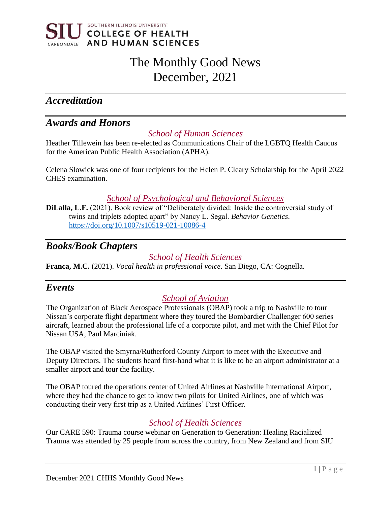

# The Monthly Good News December, 2021

# *Accreditation*

# *Awards and Honors*

*School of Human Sciences*

Heather Tillewein has been re-elected as Communications Chair of the LGBTQ Health Caucus for the American Public Health Association (APHA).

Celena Slowick was one of four recipients for the Helen P. Cleary Scholarship for the April 2022 CHES examination.

*School of Psychological and Behavioral Sciences*

**DiLalla, L.F.** (2021). Book review of "Deliberately divided: Inside the controversial study of twins and triplets adopted apart" by Nancy L. Segal. *Behavior Genetics*. <https://doi.org/10.1007/s10519-021-10086-4>

# *Books/Book Chapters*

#### *School of Health Sciences*

**Franca, M.C.** (2021). *Vocal health in professional voice*. San Diego, CA: Cognella.

## *Events*

## *School of Aviation*

The Organization of Black Aerospace Professionals (OBAP) took a trip to Nashville to tour Nissan's corporate flight department where they toured the Bombardier Challenger 600 series aircraft, learned about the professional life of a corporate pilot, and met with the Chief Pilot for Nissan USA, Paul Marciniak.

The OBAP visited the Smyrna/Rutherford County Airport to meet with the Executive and Deputy Directors. The students heard first-hand what it is like to be an airport administrator at a smaller airport and tour the facility.

The OBAP toured the operations center of United Airlines at Nashville International Airport, where they had the chance to get to know two pilots for United Airlines, one of which was conducting their very first trip as a United Airlines' First Officer.

## *School of Health Sciences*

Our CARE 590: Trauma course webinar on Generation to Generation: Healing Racialized Trauma was attended by 25 people from across the country, from New Zealand and from SIU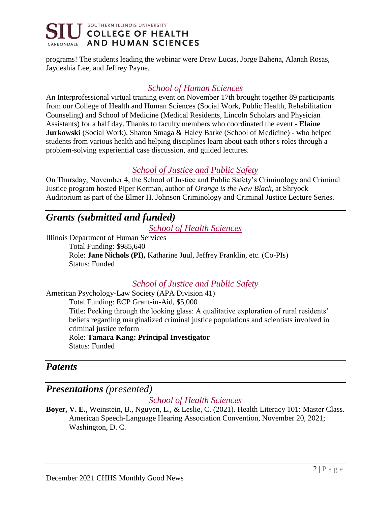

programs! The students leading the webinar were Drew Lucas, Jorge Bahena, Alanah Rosas, Jaydeshia Lee, and Jeffrey Payne.

#### *School of Human Sciences*

An Interprofessional virtual training event on November 17th brought together 89 participants from our College of Health and Human Sciences (Social Work, Public Health, Rehabilitation Counseling) and School of Medicine (Medical Residents, Lincoln Scholars and Physician Assistants) for a half day. Thanks to faculty members who coordinated the event - **Elaine Jurkowski** (Social Work), Sharon Smaga & Haley Barke (School of Medicine) - who helped students from various health and helping disciplines learn about each other's roles through a problem-solving experiential case discussion, and guided lectures.

#### *School of Justice and Public Safety*

On Thursday, November 4, the School of Justice and Public Safety's Criminology and Criminal Justice program hosted Piper Kerman, author of *Orange is the New Black*, at Shryock Auditorium as part of the Elmer H. Johnson Criminology and Criminal Justice Lecture Series.

# *Grants (submitted and funded)*

*School of Health Sciences*

Illinois Department of Human Services Total Funding: \$985,640 Role: **Jane Nichols (PI),** Katharine Juul, Jeffrey Franklin, etc. (Co-PIs) Status: Funded

#### *School of Justice and Public Safety*

American Psychology-Law Society (APA Division 41) Total Funding: ECP Grant-in-Aid, \$5,000 Title: Peeking through the looking glass: A qualitative exploration of rural residents' beliefs regarding marginalized criminal justice populations and scientists involved in criminal justice reform Role: **Tamara Kang: Principal Investigator** Status: Funded

## *Patents*

# *Presentations (presented)*

#### *School of Health Sciences*

**Boyer, V. E.**, Weinstein, B., Nguyen, L., & Leslie, C. (2021). Health Literacy 101: Master Class. American Speech-Language Hearing Association Convention, November 20, 2021; Washington, D. C.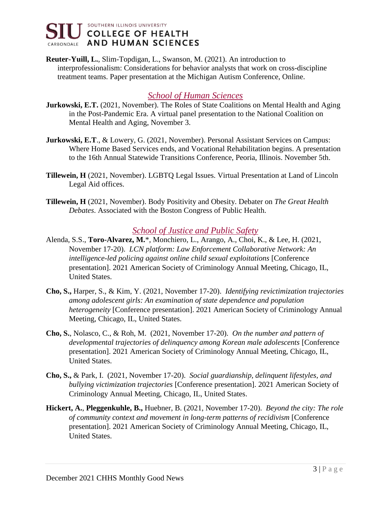

**Reuter-Yuill, L.**, Slim-Topdigan, L., Swanson, M. (2021). An introduction to interprofessionalism: Considerations for behavior analysts that work on cross-discipline treatment teams. Paper presentation at the Michigan Autism Conference, Online.

#### *School of Human Sciences*

- **Jurkowski, E.T.** (2021, November). The Roles of State Coalitions on Mental Health and Aging in the Post-Pandemic Era. A virtual panel presentation to the National Coalition on Mental Health and Aging, November 3.
- **Jurkowski, E.T**., & Lowery, G. (2021, November). Personal Assistant Services on Campus: Where Home Based Services ends, and Vocational Rehabilitation begins. A presentation to the 16th Annual Statewide Transitions Conference, Peoria, Illinois. November 5th.
- **Tillewein, H** (2021, November). LGBTQ Legal Issues. Virtual Presentation at Land of Lincoln Legal Aid offices.
- **Tillewein, H** (2021, November). Body Positivity and Obesity. Debater on *The Great Health Debates*. Associated with the Boston Congress of Public Health.

#### *School of Justice and Public Safety*

- Alenda, S.S., **Toro-Alvarez, M.**\*, Monchiero, L., Arango, A., Choi, K., & Lee, H. (2021, November 17-20). *LCN platform: Law Enforcement Collaborative Network: An intelligence-led policing against online child sexual exploitations* [Conference presentation]. 2021 American Society of Criminology Annual Meeting, Chicago, IL, United States.
- **Cho, S.,** Harper, S., & Kim, Y. (2021, November 17-20). *Identifying revictimization trajectories among adolescent girls: An examination of state dependence and population heterogeneity* [Conference presentation]. 2021 American Society of Criminology Annual Meeting, Chicago, IL, United States.
- **Cho, S.**, Nolasco, C., & Roh, M. (2021, November 17-20). *On the number and pattern of developmental trajectories of delinquency among Korean male adolescents* [Conference presentation]. 2021 American Society of Criminology Annual Meeting, Chicago, IL, United States.
- **Cho, S.,** & Park, I. (2021, November 17-20). *Social guardianship, delinquent lifestyles, and bullying victimization trajectories* [Conference presentation]. 2021 American Society of Criminology Annual Meeting, Chicago, IL, United States.
- **Hickert, A.**, **Pleggenkuhle, B.,** Huebner, B. (2021, November 17-20). *Beyond the city: The role of community context and movement in long-term patterns of recidivism* [Conference presentation]. 2021 American Society of Criminology Annual Meeting, Chicago, IL, United States.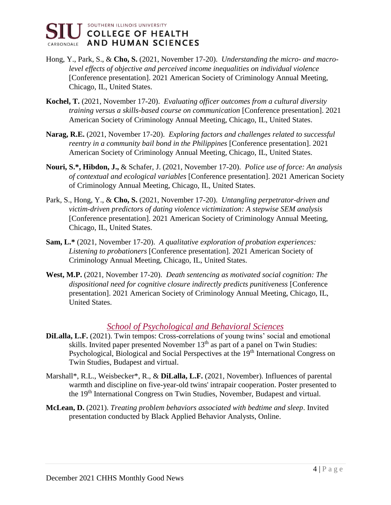SOUTHERN ILLINOIS UNIVERSITY **COLLEGE OF HEALTH** CARBONDALE AND HUMAN SCIENCES

- Hong, Y., Park, S., & **Cho, S.** (2021, November 17-20). *Understanding the micro- and macrolevel effects of objective and perceived income inequalities on individual violence*  [Conference presentation]. 2021 American Society of Criminology Annual Meeting, Chicago, IL, United States.
- **Kochel, T.** (2021, November 17-20). *Evaluating officer outcomes from a cultural diversity training versus a skills-based course on communication* [Conference presentation]. 2021 American Society of Criminology Annual Meeting, Chicago, IL, United States.
- **Narag, R.E.** (2021, November 17-20). *Exploring factors and challenges related to successful reentry in a community bail bond in the Philippines* [Conference presentation]. 2021 American Society of Criminology Annual Meeting, Chicago, IL, United States.
- **Nouri, S.\*, Hibdon, J.,** & Schafer, J. (2021, November 17-20). *Police use of force: An analysis of contextual and ecological variables* [Conference presentation]. 2021 American Society of Criminology Annual Meeting, Chicago, IL, United States.
- Park, S., Hong, Y., & **Cho, S.** (2021, November 17-20). *Untangling perpetrator-driven and victim-driven predictors of dating violence victimization: A stepwise SEM analysis*  [Conference presentation]. 2021 American Society of Criminology Annual Meeting, Chicago, IL, United States.
- **Sam, L.\*** (2021, November 17-20). *A qualitative exploration of probation experiences: Listening to probationers* [Conference presentation]. 2021 American Society of Criminology Annual Meeting, Chicago, IL, United States.
- **West, M.P.** (2021, November 17-20). *Death sentencing as motivated social cognition: The dispositional need for cognitive closure indirectly predicts punitiveness* [Conference presentation]. 2021 American Society of Criminology Annual Meeting, Chicago, IL, United States.

#### *School of Psychological and Behavioral Sciences*

- **DiLalla, L.F.** (2021). Twin tempos: Cross-correlations of young twins' social and emotional skills. Invited paper presented November  $13<sup>th</sup>$  as part of a panel on Twin Studies: Psychological, Biological and Social Perspectives at the 19<sup>th</sup> International Congress on Twin Studies, Budapest and virtual.
- Marshall\*, R.L., Weisbecker\*, R., & **DiLalla, L.F.** (2021, November). Influences of parental warmth and discipline on five-year-old twins' intrapair cooperation. Poster presented to the 19<sup>th</sup> International Congress on Twin Studies, November, Budapest and virtual.
- **McLean, D.** (2021). *Treating problem behaviors associated with bedtime and sleep*. Invited presentation conducted by Black Applied Behavior Analysts, Online.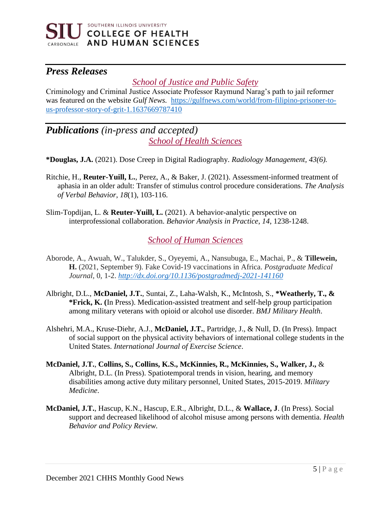

# *Press Releases*

#### *School of Justice and Public Safety*

Criminology and Criminal Justice Associate Professor Raymund Narag's path to jail reformer was featured on the website *Gulf News.* [https://gulfnews.com/world/from-filipino-prisoner-to](https://gulfnews.com/world/from-filipino-prisoner-to-us-professor-story-of-grit-1.1637669787410)[us-professor-story-of-grit-1.1637669787410](https://gulfnews.com/world/from-filipino-prisoner-to-us-professor-story-of-grit-1.1637669787410)

# *Publications (in-press and accepted) School of Health Sciences*

**\*Douglas, J.A.** (2021). Dose Creep in Digital Radiography. *Radiology Management, 43(6).*

- Ritchie, H., **Reuter-Yuill, L.**, Perez, A., & Baker, J. (2021). Assessment-informed treatment of aphasia in an older adult: Transfer of stimulus control procedure considerations. *The Analysis of Verbal Behavior*, *18*(1), 103-116.
- Slim-Topdijan, L. & **Reuter-Yuill, L.** (2021). A behavior-analytic perspective on interprofessional collaboration. *Behavior Analysis in Practice*, *14*, 1238-1248.

#### *School of Human Sciences*

- Aborode, A., Awuah, W., Talukder, S., Oyeyemi, A., Nansubuga, E., Machai, P., & **Tillewein, H.** (2021, September 9). Fake Covid-19 vaccinations in Africa. *Postgraduate Medical Journal,* 0, 1-2. *<http://dx.doi.org/10.1136/postgradmedj-2021-141160>*
- Albright, D.L., **McDaniel, J.T.**, Suntai, Z., Laha-Walsh, K., McIntosh, S., **\*Weatherly, T., & \*Frick, K. (**In Press). Medication-assisted treatment and self-help group participation among military veterans with opioid or alcohol use disorder. *BMJ Military Health*.
- Alshehri, M.A., Kruse-Diehr, A.J., **McDaniel, J.T.**, Partridge, J., & Null, D. (In Press). Impact of social support on the physical activity behaviors of international college students in the United States. *International Journal of Exercise Science*.
- **McDaniel, J.T.**, **Collins, S., Collins, K.S., McKinnies, R., McKinnies, S., Walker, J.,** & Albright, D.L. (In Press). Spatiotemporal trends in vision, hearing, and memory disabilities among active duty military personnel, United States, 2015-2019. *Military Medicine*.
- **McDaniel, J.T.**, Hascup, K.N., Hascup, E.R., Albright, D.L., & **Wallace, J**. (In Press). Social support and decreased likelihood of alcohol misuse among persons with dementia. *Health Behavior and Policy Review.*